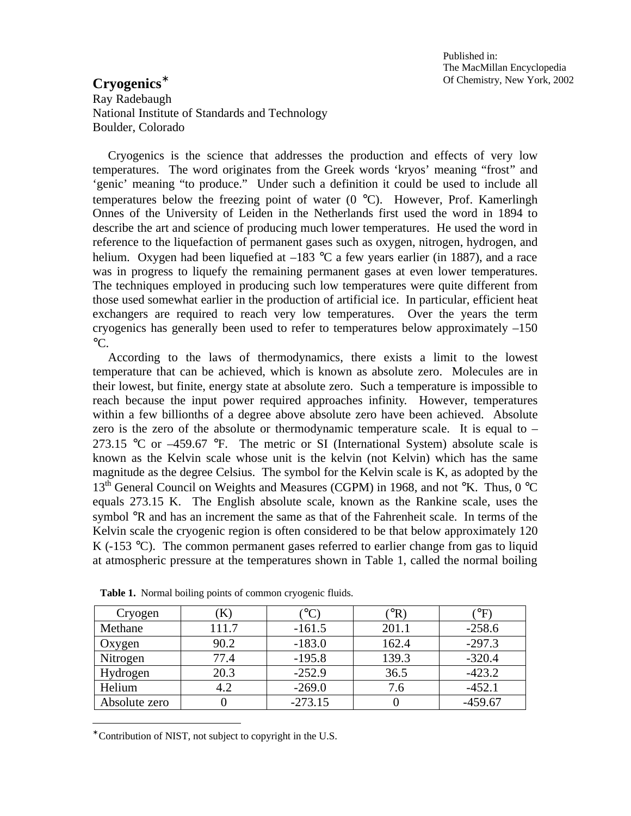## **Cryogenics\***

Ray Radebaugh National Institute of Standards and Technology Boulder, Colorado

 Cryogenics is the science that addresses the production and effects of very low temperatures. The word originates from the Greek words 'kryos' meaning "frost" and 'genic' meaning "to produce." Under such a definition it could be used to include all temperatures below the freezing point of water  $(0 \degree C)$ . However, Prof. Kamerlingh Onnes of the University of Leiden in the Netherlands first used the word in 1894 to describe the art and science of producing much lower temperatures. He used the word in reference to the liquefaction of permanent gases such as oxygen, nitrogen, hydrogen, and helium. Oxygen had been liquefied at  $-183$  °C a few years earlier (in 1887), and a race was in progress to liquefy the remaining permanent gases at even lower temperatures. The techniques employed in producing such low temperatures were quite different from those used somewhat earlier in the production of artificial ice. In particular, efficient heat exchangers are required to reach very low temperatures. Over the years the term cryogenics has generally been used to refer to temperatures below approximately –150  $\rm ^{\circ}C.$ 

 According to the laws of thermodynamics, there exists a limit to the lowest temperature that can be achieved, which is known as absolute zero. Molecules are in their lowest, but finite, energy state at absolute zero. Such a temperature is impossible to reach because the input power required approaches infinity. However, temperatures within a few billionths of a degree above absolute zero have been achieved. Absolute zero is the zero of the absolute or thermodynamic temperature scale. It is equal to – 273.15 °C or  $-459.67$  °F. The metric or SI (International System) absolute scale is known as the Kelvin scale whose unit is the kelvin (not Kelvin) which has the same magnitude as the degree Celsius. The symbol for the Kelvin scale is K, as adopted by the 13<sup>th</sup> General Council on Weights and Measures (CGPM) in 1968, and not °K. Thus, 0 °C equals 273.15 K. The English absolute scale, known as the Rankine scale, uses the symbol °R and has an increment the same as that of the Fahrenheit scale. In terms of the Kelvin scale the cryogenic region is often considered to be that below approximately 120 K ( $-153$  °C). The common permanent gases referred to earlier change from gas to liquid at atmospheric pressure at the temperatures shown in Table 1, called the normal boiling

| Cryogen       | K.    |           | ${}^{\circ}R$ | $\mathbf{P}$ |
|---------------|-------|-----------|---------------|--------------|
| Methane       | 111.7 | $-161.5$  | 201.1         | $-258.6$     |
| Oxygen        | 90.2  | $-183.0$  | 162.4         | $-297.3$     |
| Nitrogen      | 77.4  | $-195.8$  | 139.3         | $-320.4$     |
| Hydrogen      | 20.3  | $-252.9$  | 36.5          | $-423.2$     |
| Helium        | 4.2   | $-269.0$  | 7.6           | $-452.1$     |
| Absolute zero |       | $-273.15$ |               | $-459.67$    |

**Table 1.** Normal boiling points of common cryogenic fluids.

∗ Contribution of NIST, not subject to copyright in the U.S.

<u>.</u>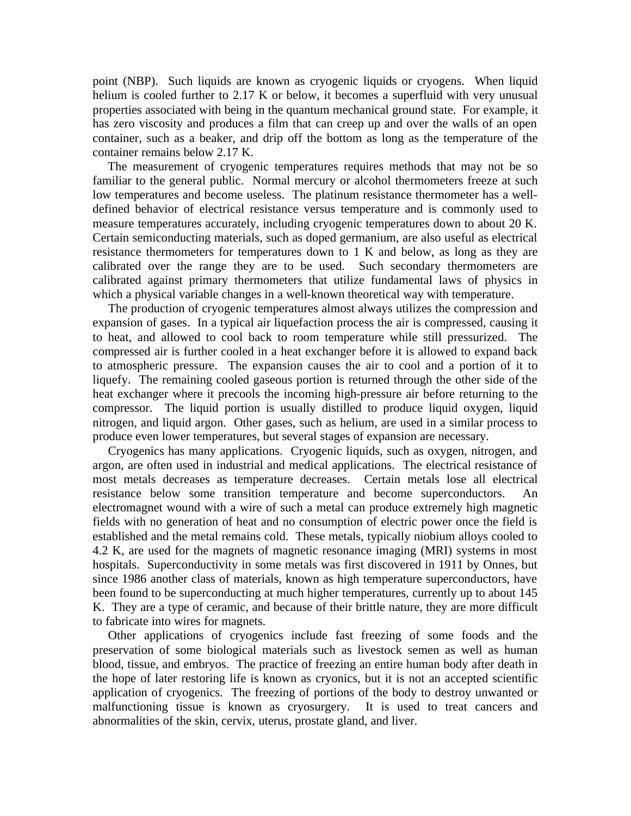point (NBP). Such liquids are known as cryogenic liquids or cryogens. When liquid helium is cooled further to 2.17 K or below, it becomes a superfluid with very unusual properties associated with being in the quantum mechanical ground state. For example, it has zero viscosity and produces a film that can creep up and over the walls of an open container, such as a beaker, and drip off the bottom as long as the temperature of the container remains below 2.17 K.

 The measurement of cryogenic temperatures requires methods that may not be so familiar to the general public. Normal mercury or alcohol thermometers freeze at such low temperatures and become useless. The platinum resistance thermometer has a welldefined behavior of electrical resistance versus temperature and is commonly used to measure temperatures accurately, including cryogenic temperatures down to about 20 K. Certain semiconducting materials, such as doped germanium, are also useful as electrical resistance thermometers for temperatures down to 1 K and below, as long as they are calibrated over the range they are to be used. Such secondary thermometers are calibrated against primary thermometers that utilize fundamental laws of physics in which a physical variable changes in a well-known theoretical way with temperature.

 The production of cryogenic temperatures almost always utilizes the compression and expansion of gases. In a typical air liquefaction process the air is compressed, causing it to heat, and allowed to cool back to room temperature while still pressurized. The compressed air is further cooled in a heat exchanger before it is allowed to expand back to atmospheric pressure. The expansion causes the air to cool and a portion of it to liquefy. The remaining cooled gaseous portion is returned through the other side of the heat exchanger where it precools the incoming high-pressure air before returning to the compressor. The liquid portion is usually distilled to produce liquid oxygen, liquid nitrogen, and liquid argon. Other gases, such as helium, are used in a similar process to produce even lower temperatures, but several stages of expansion are necessary.

 Cryogenics has many applications. Cryogenic liquids, such as oxygen, nitrogen, and argon, are often used in industrial and medical applications. The electrical resistance of most metals decreases as temperature decreases. Certain metals lose all electrical resistance below some transition temperature and become superconductors. An electromagnet wound with a wire of such a metal can produce extremely high magnetic fields with no generation of heat and no consumption of electric power once the field is established and the metal remains cold. These metals, typically niobium alloys cooled to 4.2 K, are used for the magnets of magnetic resonance imaging (MRI) systems in most hospitals. Superconductivity in some metals was first discovered in 1911 by Onnes, but since 1986 another class of materials, known as high temperature superconductors, have been found to be superconducting at much higher temperatures, currently up to about 145 K. They are a type of ceramic, and because of their brittle nature, they are more difficult to fabricate into wires for magnets.

 Other applications of cryogenics include fast freezing of some foods and the preservation of some biological materials such as livestock semen as well as human blood, tissue, and embryos. The practice of freezing an entire human body after death in the hope of later restoring life is known as cryonics, but it is not an accepted scientific application of cryogenics. The freezing of portions of the body to destroy unwanted or malfunctioning tissue is known as cryosurgery. It is used to treat cancers and abnormalities of the skin, cervix, uterus, prostate gland, and liver.